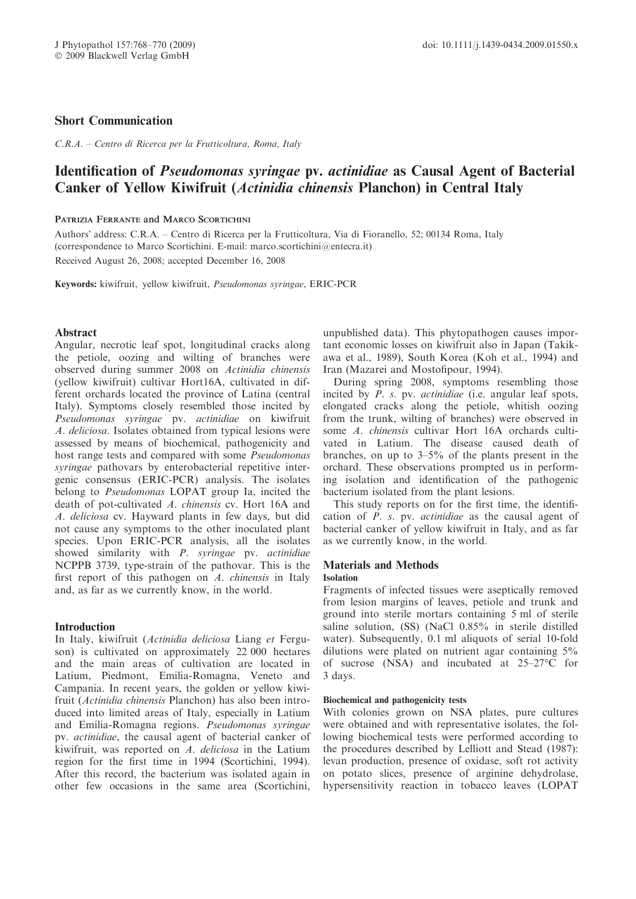## Short Communication

C.R.A. – Centro di Ricerca per la Frutticoltura, Roma, Italy

# Identification of Pseudomonas syringae pv. actinidiae as Causal Agent of Bacterial Canker of Yellow Kiwifruit (Actinidia chinensis Planchon) in Central Italy

### PATRIZIA FERRANTE and MARCO SCORTICHINI

Authors- address: C.R.A. – Centro di Ricerca per la Frutticoltura, Via di Fioranello, 52; 00134 Roma, Italy (correspondence to Marco Scortichini. E-mail: marco.scortichini@entecra.it)

Received August 26, 2008; accepted December 16, 2008

Keywords: kiwifruit, yellow kiwifruit, Pseudomonas syringae, ERIC-PCR

### **Abstract**

Angular, necrotic leaf spot, longitudinal cracks along the petiole, oozing and wilting of branches were observed during summer 2008 on Actinidia chinensis (yellow kiwifruit) cultivar Hort16A, cultivated in different orchards located the province of Latina (central Italy). Symptoms closely resembled those incited by Pseudomonas syringae pv. actinidiae on kiwifruit A. deliciosa. Isolates obtained from typical lesions were assessed by means of biochemical, pathogenicity and host range tests and compared with some *Pseudomonas* syringae pathovars by enterobacterial repetitive intergenic consensus (ERIC-PCR) analysis. The isolates belong to Pseudomonas LOPAT group Ia, incited the death of pot-cultivated A. chinensis cv. Hort 16A and A. deliciosa cv. Hayward plants in few days, but did not cause any symptoms to the other inoculated plant species. Upon ERIC-PCR analysis, all the isolates showed similarity with P. syringae pv. actinidiae NCPPB 3739, type-strain of the pathovar. This is the first report of this pathogen on A. chinensis in Italy and, as far as we currently know, in the world.

## **Introduction**

In Italy, kiwifruit (Actinidia deliciosa Liang et Ferguson) is cultivated on approximately 22 000 hectares and the main areas of cultivation are located in Latium, Piedmont, Emilia-Romagna, Veneto and Campania. In recent years, the golden or yellow kiwifruit (Actinidia chinensis Planchon) has also been introduced into limited areas of Italy, especially in Latium and Emilia-Romagna regions. Pseudomonas syringae pv. actinidiae, the causal agent of bacterial canker of kiwifruit, was reported on A. deliciosa in the Latium region for the first time in 1994 (Scortichini, 1994). After this record, the bacterium was isolated again in other few occasions in the same area (Scortichini, unpublished data). This phytopathogen causes important economic losses on kiwifruit also in Japan (Takikawa et al., 1989), South Korea (Koh et al., 1994) and Iran (Mazarei and Mostofipour, 1994).

During spring 2008, symptoms resembling those incited by P. s. pv. actinidiae (i.e. angular leaf spots, elongated cracks along the petiole, whitish oozing from the trunk, wilting of branches) were observed in some A. chinensis cultivar Hort 16A orchards cultivated in Latium. The disease caused death of branches, on up to 3–5% of the plants present in the orchard. These observations prompted us in performing isolation and identification of the pathogenic bacterium isolated from the plant lesions.

This study reports on for the first time, the identification of P. s. pv. actinidiae as the causal agent of bacterial canker of yellow kiwifruit in Italy, and as far as we currently know, in the world.

## Materials and Methods

#### Isolation

Fragments of infected tissues were aseptically removed from lesion margins of leaves, petiole and trunk and ground into sterile mortars containing 5 ml of sterile saline solution, (SS) (NaCl 0.85% in sterile distilled water). Subsequently, 0.1 ml aliquots of serial 10-fold dilutions were plated on nutrient agar containing 5% of sucrose (NSA) and incubated at  $25-27$ °C for 3 days.

#### Biochemical and pathogenicity tests

With colonies grown on NSA plates, pure cultures were obtained and with representative isolates, the following biochemical tests were performed according to the procedures described by Lelliott and Stead (1987): levan production, presence of oxidase, soft rot activity on potato slices, presence of arginine dehydrolase, hypersensitivity reaction in tobacco leaves (LOPAT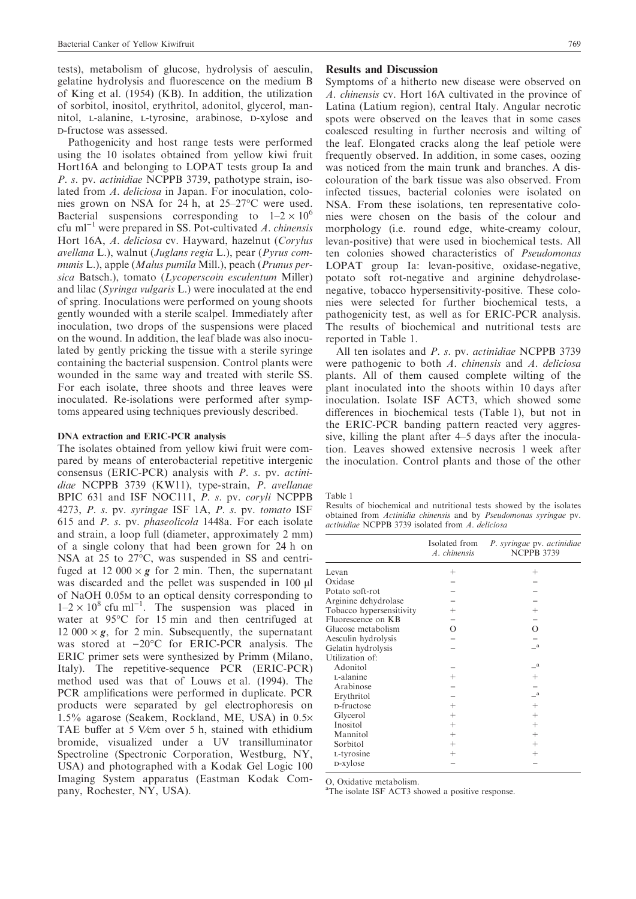tests), metabolism of glucose, hydrolysis of aesculin, gelatine hydrolysis and fluorescence on the medium B of King et al. (1954) (KB). In addition, the utilization of sorbitol, inositol, erythritol, adonitol, glycerol, mannitol, L-alanine, L-tyrosine, arabinose, D-xylose and d-fructose was assessed.

Pathogenicity and host range tests were performed using the 10 isolates obtained from yellow kiwi fruit Hort16A and belonging to LOPAT tests group Ia and P. s. pv. actinidiae NCPPB 3739, pathotype strain, isolated from A. deliciosa in Japan. For inoculation, colonies grown on NSA for 24 h, at 25–27 °C were used. Bacterial suspensions corresponding to  $1-2 \times 10^6$ cfu m $^{-1}$  were prepared in SS. Pot-cultivated A. chinensis Hort 16A, A. deliciosa cv. Hayward, hazelnut (Corylus avellana L.), walnut (Juglans regia L.), pear (Pyrus communis L.), apple (Malus pumila Mill.), peach (Prunus persica Batsch.), tomato (Lycoperscoin esculentum Miller) and lilac (Syringa vulgaris L.) were inoculated at the end of spring. Inoculations were performed on young shoots gently wounded with a sterile scalpel. Immediately after inoculation, two drops of the suspensions were placed on the wound. In addition, the leaf blade was also inoculated by gently pricking the tissue with a sterile syringe containing the bacterial suspension. Control plants were wounded in the same way and treated with sterile SS. For each isolate, three shoots and three leaves were inoculated. Re-isolations were performed after symptoms appeared using techniques previously described.

#### DNA extraction and ERIC-PCR analysis

The isolates obtained from yellow kiwi fruit were compared by means of enterobacterial repetitive intergenic consensus (ERIC-PCR) analysis with P. s. pv. actinidiae NCPPB 3739 (KW11), type-strain, P. avellanae BPIC 631 and ISF NOC111, P. s. pv. coryli NCPPB 4273, P. s. pv. syringae ISF 1A, P. s. pv. tomato ISF 615 and P. s. pv. phaseolicola 1448a. For each isolate and strain, a loop full (diameter, approximately 2 mm) of a single colony that had been grown for 24 h on NSA at 25 to 27°C, was suspended in SS and centrifuged at 12 000  $\times$  g for 2 min. Then, the supernatant was discarded and the pellet was suspended in 100 µl of NaOH 0.05m to an optical density corresponding to  $1-2 \times 10^8$  cfu ml<sup>-1</sup>. The suspension was placed in water at  $95^{\circ}$ C for 15 min and then centrifuged at 12 000  $\times$  g, for 2 min. Subsequently, the supernatant was stored at  $-20^{\circ}$ C for ERIC-PCR analysis. The ERIC primer sets were synthesized by Primm (Milano, Italy). The repetitive-sequence PCR (ERIC-PCR) method used was that of Louws et al. (1994). The PCR amplifications were performed in duplicate. PCR products were separated by gel electrophoresis on 1.5% agarose (Seakem, Rockland, ME, USA) in 0.5· TAE buffer at 5 V⁄cm over 5 h, stained with ethidium bromide, visualized under a UV transilluminator Spectroline (Spectronic Corporation, Westburg, NY, USA) and photographed with a Kodak Gel Logic 100 Imaging System apparatus (Eastman Kodak Company, Rochester, NY, USA).

#### Results and Discussion

Symptoms of a hitherto new disease were observed on A. chinensis cv. Hort 16A cultivated in the province of Latina (Latium region), central Italy. Angular necrotic spots were observed on the leaves that in some cases coalesced resulting in further necrosis and wilting of the leaf. Elongated cracks along the leaf petiole were frequently observed. In addition, in some cases, oozing was noticed from the main trunk and branches. A discolouration of the bark tissue was also observed. From infected tissues, bacterial colonies were isolated on NSA. From these isolations, ten representative colonies were chosen on the basis of the colour and morphology (i.e. round edge, white-creamy colour, levan-positive) that were used in biochemical tests. All ten colonies showed characteristics of Pseudomonas LOPAT group Ia: levan-positive, oxidase-negative, potato soft rot-negative and arginine dehydrolasenegative, tobacco hypersensitivity-positive. These colonies were selected for further biochemical tests, a pathogenicity test, as well as for ERIC-PCR analysis. The results of biochemical and nutritional tests are reported in Table 1.

All ten isolates and P. s. pv. actinidiae NCPPB 3739 were pathogenic to both A. chinensis and A. deliciosa plants. All of them caused complete wilting of the plant inoculated into the shoots within 10 days after inoculation. Isolate ISF ACT3, which showed some differences in biochemical tests (Table 1), but not in the ERIC-PCR banding pattern reacted very aggressive, killing the plant after 4–5 days after the inoculation. Leaves showed extensive necrosis 1 week after the inoculation. Control plants and those of the other

Table 1

Results of biochemical and nutritional tests showed by the isolates obtained from Actinidia chinensis and by Pseudomonas syringae pv. actinidiae NCPPB 3739 isolated from A. deliciosa

|                          | Isolated from<br>A. chinensis | P. syringae pv. actinidiae<br><b>NCPPB 3739</b> |
|--------------------------|-------------------------------|-------------------------------------------------|
| Levan                    | $^{+}$                        | $^+$                                            |
| Oxidase                  |                               |                                                 |
| Potato soft-rot          |                               |                                                 |
| Arginine dehydrolase     |                               |                                                 |
| Tobacco hypersensitivity | $^{+}$                        | $^{+}$                                          |
| Fluorescence on KB       |                               |                                                 |
| Glucose metabolism       | Ω                             | $\Omega$                                        |
| Aesculin hydrolysis      |                               |                                                 |
| Gelatin hydrolysis       |                               | - a                                             |
| Utilization of:          |                               |                                                 |
| Adonitol                 |                               | <sub>a</sub>                                    |
| L-alanine                | $^{+}$                        | $^{+}$                                          |
| Arabinose                |                               |                                                 |
| Erythritol               |                               | $\mathbf{a}$                                    |
| D-fructose               | $^{+}$                        | $^{+}$                                          |
| Glycerol                 | $^{+}$                        | $^{+}$                                          |
| Inositol                 | $^{+}$                        | $^{+}$                                          |
| Mannitol                 | $+$                           | $^{+}$                                          |
| Sorbitol                 | $^{+}$                        | $^{+}$                                          |
| L-tyrosine               | $^{+}$                        | $^{+}$                                          |
| D-xylose                 |                               |                                                 |

O, Oxidative metabolism.

<sup>a</sup>The isolate ISF ACT3 showed a positive response.